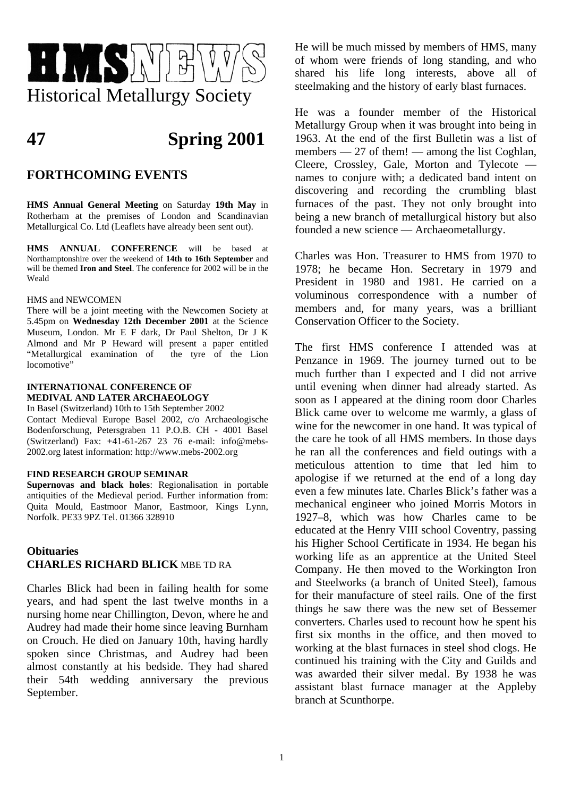

# **47 Spring 2001**

# **FORTHCOMING EVENTS**

**HMS Annual General Meeting** on Saturday **19th May** in Rotherham at the premises of London and Scandinavian Metallurgical Co. Ltd (Leaflets have already been sent out).

**HMS ANNUAL CONFERENCE** will be based at Northamptonshire over the weekend of **14th to 16th September** and will be themed **Iron and Steel**. The conference for 2002 will be in the Weald

#### HMS and NEWCOMEN

There will be a joint meeting with the Newcomen Society at 5.45pm on **Wednesday 12th December 2001** at the Science Museum, London. Mr E F dark, Dr Paul Shelton, Dr J K Almond and Mr P Heward will present a paper entitled "Metallurgical examination of the tyre of the Lion locomotive"

#### **INTERNATIONAL CONFERENCE OF MEDIVAL AND LATER ARCHAEOLOGY**

In Basel (Switzerland) 10th to 15th September 2002 Contact Medieval Europe Basel 2002, c/o Archaeologische Bodenforschung, Petersgraben 11 P.O.B. CH - 4001 Basel (Switzerland) Fax: +41-61-267 23 76 e-mail: info@mebs-2002.org latest information: http://www.mebs-2002.org

#### **FIND RESEARCH GROUP SEMINAR**

**Supernovas and black holes**: Regionalisation in portable antiquities of the Medieval period. Further information from: Quita Mould, Eastmoor Manor, Eastmoor, Kings Lynn, Norfolk. PE33 9PZ Tel. 01366 328910

# **Obituaries CHARLES RICHARD BLICK** MBE TD RA

Charles Blick had been in failing health for some years, and had spent the last twelve months in a nursing home near Chillington, Devon, where he and Audrey had made their home since leaving Burnham on Crouch. He died on January 10th, having hardly spoken since Christmas, and Audrey had been almost constantly at his bedside. They had shared their 54th wedding anniversary the previous September.

He will be much missed by members of HMS, many of whom were friends of long standing, and who shared his life long interests, above all of steelmaking and the history of early blast furnaces.

He was a founder member of the Historical Metallurgy Group when it was brought into being in 1963. At the end of the first Bulletin was a list of members — 27 of them! — among the list Coghlan, Cleere, Crossley, Gale, Morton and Tylecote names to conjure with; a dedicated band intent on discovering and recording the crumbling blast furnaces of the past. They not only brought into being a new branch of metallurgical history but also founded a new science — Archaeometallurgy.

Charles was Hon. Treasurer to HMS from 1970 to 1978; he became Hon. Secretary in 1979 and President in 1980 and 1981. He carried on a voluminous correspondence with a number of members and, for many years, was a brilliant Conservation Officer to the Society.

The first HMS conference I attended was at Penzance in 1969. The journey turned out to be much further than I expected and I did not arrive until evening when dinner had already started. As soon as I appeared at the dining room door Charles Blick came over to welcome me warmly, a glass of wine for the newcomer in one hand. It was typical of the care he took of all HMS members. In those days he ran all the conferences and field outings with a meticulous attention to time that led him to apologise if we returned at the end of a long day even a few minutes late. Charles Blick's father was a mechanical engineer who joined Morris Motors in 1927–8, which was how Charles came to be educated at the Henry VIII school Coventry, passing his Higher School Certificate in 1934. He began his working life as an apprentice at the United Steel Company. He then moved to the Workington Iron and Steelworks (a branch of United Steel), famous for their manufacture of steel rails. One of the first things he saw there was the new set of Bessemer converters. Charles used to recount how he spent his first six months in the office, and then moved to working at the blast furnaces in steel shod clogs. He continued his training with the City and Guilds and was awarded their silver medal. By 1938 he was assistant blast furnace manager at the Appleby branch at Scunthorpe.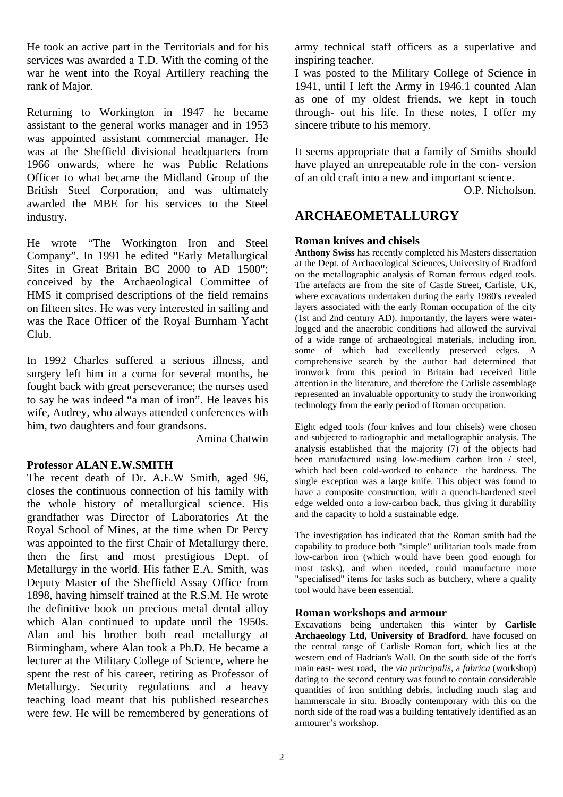He took an active part in the Territorials and for his services was awarded a T.D. With the coming of the war he went into the Royal Artillery reaching the rank of Major.

Returning to Workington in 1947 he became assistant to the general works manager and in 1953 was appointed assistant commercial manager. He was at the Sheffield divisional headquarters from 1966 onwards, where he was Public Relations Officer to what became the Midland Group of the British Steel Corporation, and was ultimately awarded the MBE for his services to the Steel industry.

He wrote "The Workington Iron and Steel Company". In 1991 he edited "Early Metallurgical Sites in Great Britain BC 2000 to AD 1500"; conceived by the Archaeological Committee of HMS it comprised descriptions of the field remains on fifteen sites. He was very interested in sailing and was the Race Officer of the Royal Burnham Yacht Club.

In 1992 Charles suffered a serious illness, and surgery left him in a coma for several months, he fought back with great perseverance; the nurses used to say he was indeed "a man of iron". He leaves his wife, Audrey, who always attended conferences with him, two daughters and four grandsons.

Amina Chatwin

# **Professor ALAN E.W.SMITH**

The recent death of Dr. A.E.W Smith, aged 96, closes the continuous connection of his family with the whole history of metallurgical science. His grandfather was Director of Laboratories At the Royal School of Mines, at the time when Dr Percy was appointed to the first Chair of Metallurgy there, then the first and most prestigious Dept. of Metallurgy in the world. His father E.A. Smith, was Deputy Master of the Sheffield Assay Office from 1898, having himself trained at the R.S.M. He wrote the definitive book on precious metal dental alloy which Alan continued to update until the 1950s. Alan and his brother both read metallurgy at Birmingham, where Alan took a Ph.D. He became a lecturer at the Military College of Science, where he spent the rest of his career, retiring as Professor of Metallurgy. Security regulations and a heavy teaching load meant that his published researches were few. He will be remembered by generations of army technical staff officers as a superlative and inspiring teacher.

I was posted to the Military College of Science in 1941, until I left the Army in 1946.1 counted Alan as one of my oldest friends, we kept in touch through- out his life. In these notes, I offer my sincere tribute to his memory.

It seems appropriate that a family of Smiths should have played an unrepeatable role in the con- version of an old craft into a new and important science.

O.P. Nicholson.

# **ARCHAEOMETALLURGY**

# **Roman knives and chisels**

**Anthony Swiss** has recently completed his Masters dissertation at the Dept. of Archaeological Sciences, University of Bradford on the metallographic analysis of Roman ferrous edged tools. The artefacts are from the site of Castle Street, Carlisle, UK, where excavations undertaken during the early 1980's revealed layers associated with the early Roman occupation of the city (1st and 2nd century AD). Importantly, the layers were waterlogged and the anaerobic conditions had allowed the survival of a wide range of archaeological materials, including iron, some of which had excellently preserved edges. A comprehensive search by the author had determined that ironwork from this period in Britain had received little attention in the literature, and therefore the Carlisle assemblage represented an invaluable opportunity to study the ironworking technology from the early period of Roman occupation.

Eight edged tools (four knives and four chisels) were chosen and subjected to radiographic and metallographic analysis. The analysis established that the majority (7) of the objects had been manufactured using low-medium carbon iron / steel, which had been cold-worked to enhance the hardness. The single exception was a large knife. This object was found to have a composite construction, with a quench-hardened steel edge welded onto a low-carbon back, thus giving it durability and the capacity to hold a sustainable edge.

The investigation has indicated that the Roman smith had the capability to produce both "simple" utilitarian tools made from low-carbon iron (which would have been good enough for most tasks), and when needed, could manufacture more "specialised" items for tasks such as butchery, where a quality tool would have been essential.

# **Roman workshops and armour**

Excavations being undertaken this winter by **Carlisle Archaeology Ltd, University of Bradford**, have focused on the central range of Carlisle Roman fort, which lies at the western end of Hadrian's Wall. On the south side of the fort's main east- west road, the *via principalis*, a *fabrica* (workshop) dating to the second century was found to contain considerable quantities of iron smithing debris, including much slag and hammerscale in situ. Broadly contemporary with this on the north side of the road was a building tentatively identified as an armourer's workshop.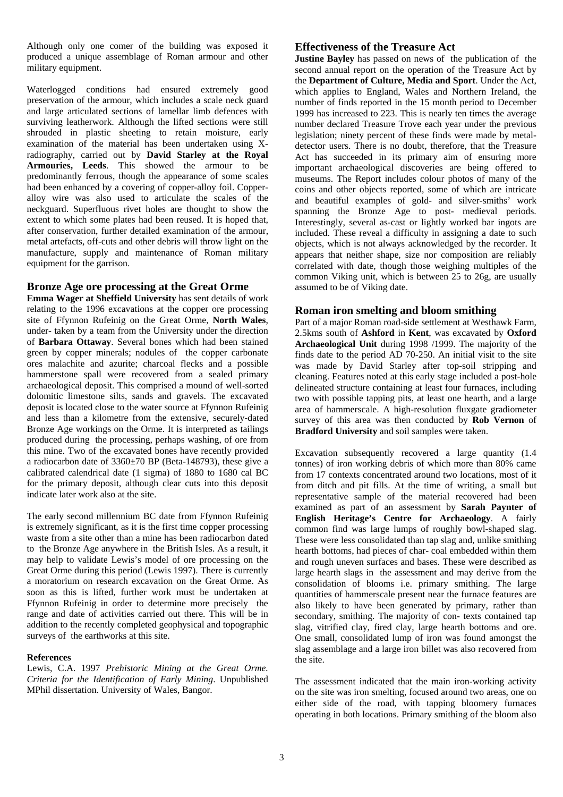Although only one comer of the building was exposed it produced a unique assemblage of Roman armour and other military equipment.

Waterlogged conditions had ensured extremely good preservation of the armour, which includes a scale neck guard and large articulated sections of lamellar limb defences with surviving leatherwork. Although the lifted sections were still shrouded in plastic sheeting to retain moisture, early examination of the material has been undertaken using Xradiography, carried out by **David Starley at the Royal Armouries, Leeds**. This showed the armour to be predominantly ferrous, though the appearance of some scales had been enhanced by a covering of copper-alloy foil. Copperalloy wire was also used to articulate the scales of the neckguard. Superfluous rivet holes are thought to show the extent to which some plates had been reused. It is hoped that, after conservation, further detailed examination of the armour, metal artefacts, off-cuts and other debris will throw light on the manufacture, supply and maintenance of Roman military equipment for the garrison.

#### **Bronze Age ore processing at the Great Orme**

**Emma Wager at Sheffield University** has sent details of work relating to the 1996 excavations at the copper ore processing site of Ffynnon Rufeinig on the Great Orme, **North Wales**, under- taken by a team from the University under the direction of **Barbara Ottaway**. Several bones which had been stained green by copper minerals; nodules of the copper carbonate ores malachite and azurite; charcoal flecks and a possible hammerstone spall were recovered from a sealed primary archaeological deposit. This comprised a mound of well-sorted dolomitic limestone silts, sands and gravels. The excavated deposit is located close to the water source at Ffynnon Rufeinig and less than a kilometre from the extensive, securely-dated Bronze Age workings on the Orme. It is interpreted as tailings produced during the processing, perhaps washing, of ore from this mine. Two of the excavated bones have recently provided a radiocarbon date of  $3360\pm70$  BP (Beta-148793), these give a calibrated calendrical date (1 sigma) of 1880 to 1680 cal BC for the primary deposit, although clear cuts into this deposit indicate later work also at the site.

The early second millennium BC date from Ffynnon Rufeinig is extremely significant, as it is the first time copper processing waste from a site other than a mine has been radiocarbon dated to the Bronze Age anywhere in the British Isles. As a result, it may help to validate Lewis's model of ore processing on the Great Orme during this period (Lewis 1997). There is currently a moratorium on research excavation on the Great Orme. As soon as this is lifted, further work must be undertaken at Ffynnon Rufeinig in order to determine more precisely the range and date of activities carried out there. This will be in addition to the recently completed geophysical and topographic surveys of the earthworks at this site.

#### **References**

Lewis, C.A. 1997 *Prehistoric Mining at the Great Orme. Criteria for the Identification of Early Mining*. Unpublished MPhil dissertation. University of Wales, Bangor.

#### **Effectiveness of the Treasure Act**

**Justine Bayley** has passed on news of the publication of the second annual report on the operation of the Treasure Act by the **Department of Culture, Media and Sport**. Under the Act, which applies to England, Wales and Northern Ireland, the number of finds reported in the 15 month period to December 1999 has increased to 223. This is nearly ten times the average number declared Treasure Trove each year under the previous legislation; ninety percent of these finds were made by metaldetector users. There is no doubt, therefore, that the Treasure Act has succeeded in its primary aim of ensuring more important archaeological discoveries are being offered to museums. The Report includes colour photos of many of the coins and other objects reported, some of which are intricate and beautiful examples of gold- and silver-smiths' work spanning the Bronze Age to post- medieval periods. Interestingly, several as-cast or lightly worked bar ingots are included. These reveal a difficulty in assigning a date to such objects, which is not always acknowledged by the recorder. It appears that neither shape, size nor composition are reliably correlated with date, though those weighing multiples of the common Viking unit, which is between 25 to 26g, are usually assumed to be of Viking date.

#### **Roman iron smelting and bloom smithing**

Part of a major Roman road-side settlement at Westhawk Farm, 2.5kms south of **Ashford** in **Kent**, was excavated by **Oxford Archaeological Unit** during 1998 /1999. The majority of the finds date to the period AD 70-250. An initial visit to the site was made by David Starley after top-soil stripping and cleaning. Features noted at this early stage included a post-hole delineated structure containing at least four furnaces, including two with possible tapping pits, at least one hearth, and a large area of hammerscale. A high-resolution fluxgate gradiometer survey of this area was then conducted by **Rob Vernon** of **Bradford University** and soil samples were taken.

Excavation subsequently recovered a large quantity (1.4 tonnes) of iron working debris of which more than 80% came from 17 contexts concentrated around two locations, most of it from ditch and pit fills. At the time of writing, a small but representative sample of the material recovered had been examined as part of an assessment by **Sarah Paynter of English Heritage's Centre for Archaeology**. A fairly common find was large lumps of roughly bowl-shaped slag. These were less consolidated than tap slag and, unlike smithing hearth bottoms, had pieces of char- coal embedded within them and rough uneven surfaces and bases. These were described as large hearth slags in the assessment and may derive from the consolidation of blooms i.e. primary smithing. The large quantities of hammerscale present near the furnace features are also likely to have been generated by primary, rather than secondary, smithing. The majority of con- texts contained tap slag, vitrified clay, fired clay, large hearth bottoms and ore. One small, consolidated lump of iron was found amongst the slag assemblage and a large iron billet was also recovered from the site.

The assessment indicated that the main iron-working activity on the site was iron smelting, focused around two areas, one on either side of the road, with tapping bloomery furnaces operating in both locations. Primary smithing of the bloom also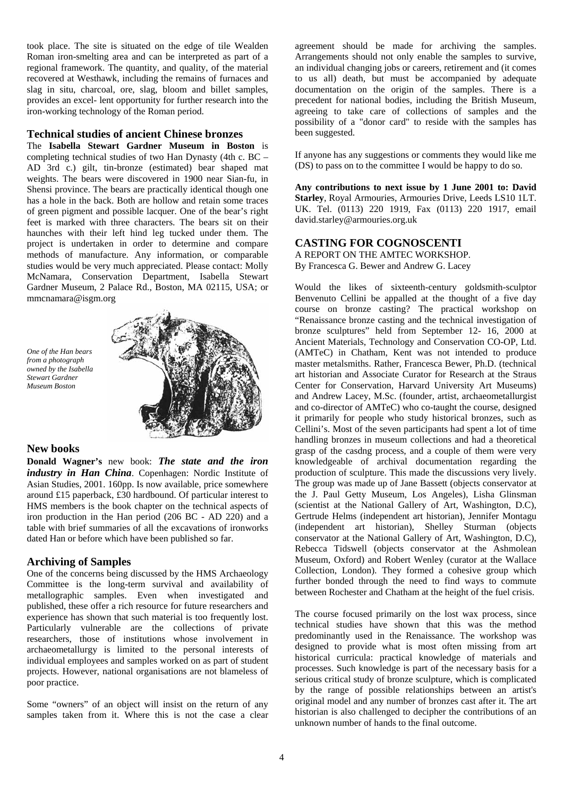took place. The site is situated on the edge of tile Wealden Roman iron-smelting area and can be interpreted as part of a regional framework. The quantity, and quality, of the material recovered at Westhawk, including the remains of furnaces and slag in situ, charcoal, ore, slag, bloom and billet samples, provides an excel- lent opportunity for further research into the iron-working technology of the Roman period.

#### **Technical studies of ancient Chinese bronzes**

The **Isabella Stewart Gardner Museum in Boston** is completing technical studies of two Han Dynasty (4th c. BC – AD 3rd c.) gilt, tin-bronze (estimated) bear shaped mat weights. The bears were discovered in 1900 near Sian-fu, in Shensi province. The bears are practically identical though one has a hole in the back. Both are hollow and retain some traces of green pigment and possible lacquer. One of the bear's right feet is marked with three characters. The bears sit on their haunches with their left hind leg tucked under them. The project is undertaken in order to determine and compare methods of manufacture. Any information, or comparable studies would be very much appreciated. Please contact: Molly McNamara, Conservation Department, Isabella Stewart Gardner Museum, 2 Palace Rd., Boston, MA 02115, USA; or mmcnamara@isgm.org

*One of the Han bears from a photograph owned by the Isabella Stewart Gardner Museum Boston* 



#### **New books**

**Donald Wagner's** new book: *The state and the iron industry in Han China*. Copenhagen: Nordic Institute of Asian Studies, 2001. 160pp. Is now available, price somewhere around £15 paperback, £30 hardbound. Of particular interest to HMS members is the book chapter on the technical aspects of iron production in the Han period (206 BC - AD 220) and a table with brief summaries of all the excavations of ironworks dated Han or before which have been published so far.

#### **Archiving of Samples**

One of the concerns being discussed by the HMS Archaeology Committee is the long-term survival and availability of metallographic samples. Even when investigated and published, these offer a rich resource for future researchers and experience has shown that such material is too frequently lost. Particularly vulnerable are the collections of private researchers, those of institutions whose involvement in archaeometallurgy is limited to the personal interests of individual employees and samples worked on as part of student projects. However, national organisations are not blameless of poor practice.

Some "owners" of an object will insist on the return of any samples taken from it. Where this is not the case a clear agreement should be made for archiving the samples. Arrangements should not only enable the samples to survive, an individual changing jobs or careers, retirement and (it comes to us all) death, but must be accompanied by adequate documentation on the origin of the samples. There is a precedent for national bodies, including the British Museum, agreeing to take care of collections of samples and the possibility of a "donor card" to reside with the samples has been suggested.

If anyone has any suggestions or comments they would like me (DS) to pass on to the committee I would be happy to do so.

**Any contributions to next issue by 1 June 2001 to: David Starley**, Royal Armouries, Armouries Drive, Leeds LS10 1LT. UK. Tel. (0113) 220 1919, Fax (0113) 220 1917, email david.starley@armouries.org.uk

## **CASTING FOR COGNOSCENTI**

A REPORT ON THE AMTEC WORKSHOP. By Francesca G. Bewer and Andrew G. Lacey

Would the likes of sixteenth-century goldsmith-sculptor Benvenuto Cellini be appalled at the thought of a five day course on bronze casting? The practical workshop on "Renaissance bronze casting and the technical investigation of bronze sculptures" held from September 12- 16, 2000 at Ancient Materials, Technology and Conservation CO-OP, Ltd. (AMTeC) in Chatham, Kent was not intended to produce master metalsmiths. Rather, Francesca Bewer, Ph.D. (technical art historian and Associate Curator for Research at the Straus Center for Conservation, Harvard University Art Museums) and Andrew Lacey, M.Sc. (founder, artist, archaeometallurgist and co-director of AMTeC) who co-taught the course, designed it primarily for people who study historical bronzes, such as Cellini's. Most of the seven participants had spent a lot of time handling bronzes in museum collections and had a theoretical grasp of the casdng process, and a couple of them were very knowledgeable of archival documentation regarding the production of sculpture. This made the discussions very lively. The group was made up of Jane Bassett (objects conservator at the J. Paul Getty Museum, Los Angeles), Lisha Glinsman (scientist at the National Gallery of Art, Washington, D.C), Gertrude Helms (independent art historian), Jennifer Montagu (independent art historian), Shelley Sturman (objects conservator at the National Gallery of Art, Washington, D.C), Rebecca Tidswell (objects conservator at the Ashmolean Museum, Oxford) and Robert Wenley (curator at the Wallace Collection, London). They formed a cohesive group which further bonded through the need to find ways to commute between Rochester and Chatham at the height of the fuel crisis.

The course focused primarily on the lost wax process, since technical studies have shown that this was the method predominantly used in the Renaissance. The workshop was designed to provide what is most often missing from art historical curricula: practical knowledge of materials and processes. Such knowledge is part of the necessary basis for a serious critical study of bronze sculpture, which is complicated by the range of possible relationships between an artist's original model and any number of bronzes cast after it. The art historian is also challenged to decipher the contributions of an unknown number of hands to the final outcome.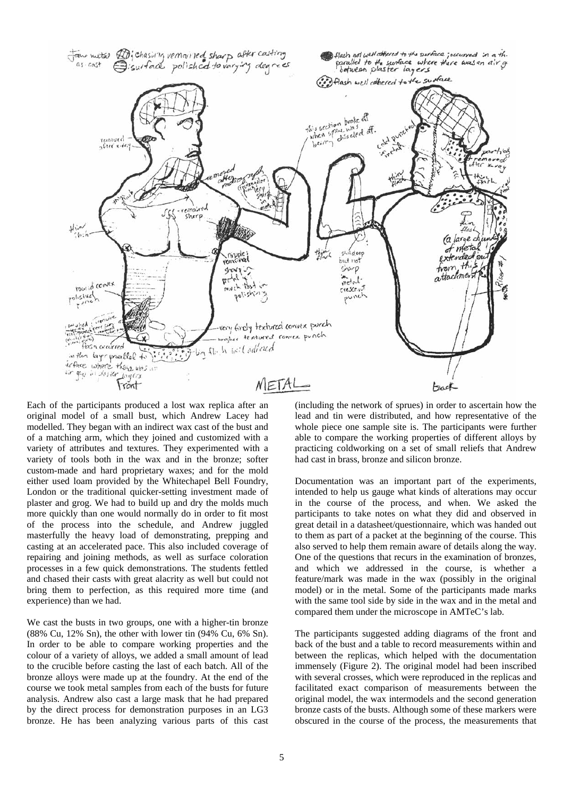

Each of the participants produced a lost wax replica after an original model of a small bust, which Andrew Lacey had modelled. They began with an indirect wax cast of the bust and of a matching arm, which they joined and customized with a variety of attributes and textures. They experimented with a variety of tools both in the wax and in the bronze; softer custom-made and hard proprietary waxes; and for the mold either used loam provided by the Whitechapel Bell Foundry, London or the traditional quicker-setting investment made of plaster and grog. We had to build up and dry the molds much more quickly than one would normally do in order to fit most of the process into the schedule, and Andrew juggled masterfully the heavy load of demonstrating, prepping and casting at an accelerated pace. This also included coverage of repairing and joining methods, as well as surface coloration processes in a few quick demonstrations. The students fettled and chased their casts with great alacrity as well but could not bring them to perfection, as this required more time (and experience) than we had.

We cast the busts in two groups, one with a higher-tin bronze (88% Cu, 12% Sn), the other with lower tin (94% Cu, 6% Sn). In order to be able to compare working properties and the colour of a variety of alloys, we added a small amount of lead to the crucible before casting the last of each batch. All of the bronze alloys were made up at the foundry. At the end of the course we took metal samples from each of the busts for future analysis. Andrew also cast a large mask that he had prepared by the direct process for demonstration purposes in an LG3 bronze. He has been analyzing various parts of this cast (including the network of sprues) in order to ascertain how the lead and tin were distributed, and how representative of the whole piece one sample site is. The participants were further able to compare the working properties of different alloys by practicing coldworking on a set of small reliefs that Andrew had cast in brass, bronze and silicon bronze.

Documentation was an important part of the experiments, intended to help us gauge what kinds of alterations may occur in the course of the process, and when. We asked the participants to take notes on what they did and observed in great detail in a datasheet/questionnaire, which was handed out to them as part of a packet at the beginning of the course. This also served to help them remain aware of details along the way. One of the questions that recurs in the examination of bronzes, and which we addressed in the course, is whether a feature/mark was made in the wax (possibly in the original model) or in the metal. Some of the participants made marks with the same tool side by side in the wax and in the metal and compared them under the microscope in AMTeC's lab.

The participants suggested adding diagrams of the front and back of the bust and a table to record measurements within and between the replicas, which helped with the documentation immensely (Figure 2). The original model had been inscribed with several crosses, which were reproduced in the replicas and facilitated exact comparison of measurements between the original model, the wax intermodels and the second generation bronze casts of the busts. Although some of these markers were obscured in the course of the process, the measurements that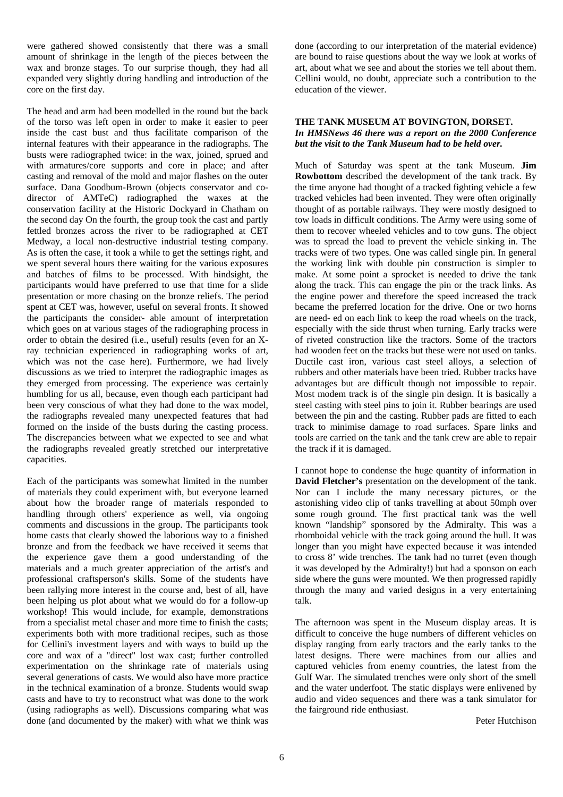were gathered showed consistently that there was a small amount of shrinkage in the length of the pieces between the wax and bronze stages. To our surprise though, they had all expanded very slightly during handling and introduction of the core on the first day.

The head and arm had been modelled in the round but the back of the torso was left open in order to make it easier to peer inside the cast bust and thus facilitate comparison of the internal features with their appearance in the radiographs. The busts were radiographed twice: in the wax, joined, sprued and with armatures/core supports and core in place; and after casting and removal of the mold and major flashes on the outer surface. Dana Goodbum-Brown (objects conservator and codirector of AMTeC) radiographed the waxes at the conservation facility at the Historic Dockyard in Chatham on the second day On the fourth, the group took the cast and partly fettled bronzes across the river to be radiographed at CET Medway, a local non-destructive industrial testing company. As is often the case, it took a while to get the settings right, and we spent several hours there waiting for the various exposures and batches of films to be processed. With hindsight, the participants would have preferred to use that time for a slide presentation or more chasing on the bronze reliefs. The period spent at CET was, however, useful on several fronts. It showed the participants the consider- able amount of interpretation which goes on at various stages of the radiographing process in order to obtain the desired (i.e., useful) results (even for an Xray technician experienced in radiographing works of art, which was not the case here). Furthermore, we had lively discussions as we tried to interpret the radiographic images as they emerged from processing. The experience was certainly humbling for us all, because, even though each participant had been very conscious of what they had done to the wax model, the radiographs revealed many unexpected features that had formed on the inside of the busts during the casting process. The discrepancies between what we expected to see and what the radiographs revealed greatly stretched our interpretative capacities.

Each of the participants was somewhat limited in the number of materials they could experiment with, but everyone learned about how the broader range of materials responded to handling through others' experience as well, via ongoing comments and discussions in the group. The participants took home casts that clearly showed the laborious way to a finished bronze and from the feedback we have received it seems that the experience gave them a good understanding of the materials and a much greater appreciation of the artist's and professional craftsperson's skills. Some of the students have been rallying more interest in the course and, best of all, have been helping us plot about what we would do for a follow-up workshop! This would include, for example, demonstrations from a specialist metal chaser and more time to finish the casts; experiments both with more traditional recipes, such as those for Cellini's investment layers and with ways to build up the core and wax of a "direct" lost wax cast; further controlled experimentation on the shrinkage rate of materials using several generations of casts. We would also have more practice in the technical examination of a bronze. Students would swap casts and have to try to reconstruct what was done to the work (using radiographs as well). Discussions comparing what was done (and documented by the maker) with what we think was done (according to our interpretation of the material evidence) are bound to raise questions about the way we look at works of art, about what we see and about the stories we tell about them. Cellini would, no doubt, appreciate such a contribution to the education of the viewer.

#### **THE TANK MUSEUM AT BOVINGTON, DORSET.**  *In HMSNews 46 there was a report on the 2000 Conference but the visit to the Tank Museum had to be held over.*

Much of Saturday was spent at the tank Museum. **Jim Rowbottom** described the development of the tank track. By the time anyone had thought of a tracked fighting vehicle a few tracked vehicles had been invented. They were often originally thought of as portable railways. They were mostly designed to tow loads in difficult conditions. The Army were using some of them to recover wheeled vehicles and to tow guns. The object was to spread the load to prevent the vehicle sinking in. The tracks were of two types. One was called single pin. In general the working link with double pin construction is simpler to make. At some point a sprocket is needed to drive the tank along the track. This can engage the pin or the track links. As the engine power and therefore the speed increased the track became the preferred location for the drive. One or two horns are need- ed on each link to keep the road wheels on the track, especially with the side thrust when turning. Early tracks were of riveted construction like the tractors. Some of the tractors had wooden feet on the tracks but these were not used on tanks. Ductile cast iron, various cast steel alloys, a selection of rubbers and other materials have been tried. Rubber tracks have advantages but are difficult though not impossible to repair. Most modem track is of the single pin design. It is basically a steel casting with steel pins to join it. Rubber bearings are used between the pin and the casting. Rubber pads are fitted to each track to minimise damage to road surfaces. Spare links and tools are carried on the tank and the tank crew are able to repair the track if it is damaged.

I cannot hope to condense the huge quantity of information in **David Fletcher's** presentation on the development of the tank. Nor can I include the many necessary pictures, or the astonishing video clip of tanks travelling at about 50mph over some rough ground. The first practical tank was the well known "landship" sponsored by the Admiralty. This was a rhomboidal vehicle with the track going around the hull. It was longer than you might have expected because it was intended to cross 8' wide trenches. The tank had no turret (even though it was developed by the Admiralty!) but had a sponson on each side where the guns were mounted. We then progressed rapidly through the many and varied designs in a very entertaining talk.

The afternoon was spent in the Museum display areas. It is difficult to conceive the huge numbers of different vehicles on display ranging from early tractors and the early tanks to the latest designs. There were machines from our allies and captured vehicles from enemy countries, the latest from the Gulf War. The simulated trenches were only short of the smell and the water underfoot. The static displays were enlivened by audio and video sequences and there was a tank simulator for the fairground ride enthusiast.

Peter Hutchison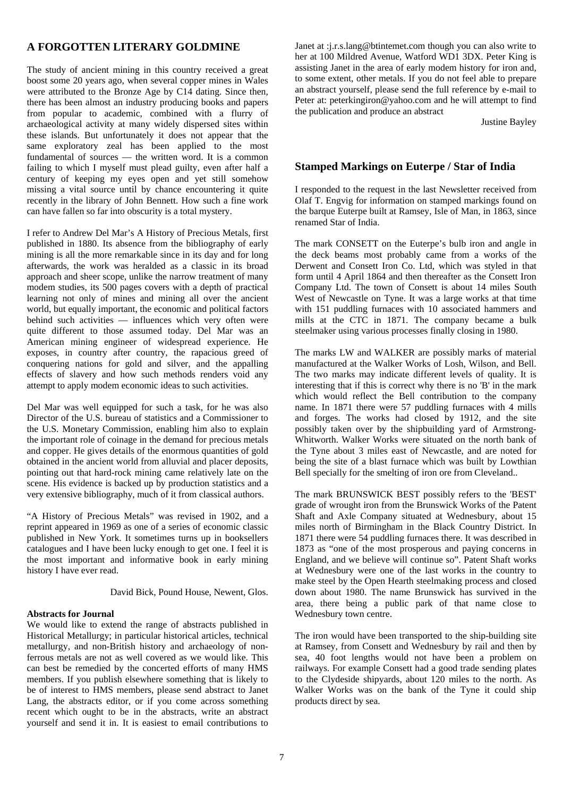## **A FORGOTTEN LITERARY GOLDMINE**

The study of ancient mining in this country received a great boost some 20 years ago, when several copper mines in Wales were attributed to the Bronze Age by C14 dating. Since then, there has been almost an industry producing books and papers from popular to academic, combined with a flurry of archaeological activity at many widely dispersed sites within these islands. But unfortunately it does not appear that the same exploratory zeal has been applied to the most fundamental of sources — the written word. It is a common failing to which I myself must plead guilty, even after half a century of keeping my eyes open and yet still somehow missing a vital source until by chance encountering it quite recently in the library of John Bennett. How such a fine work can have fallen so far into obscurity is a total mystery.

I refer to Andrew Del Mar's A History of Precious Metals, first published in 1880. Its absence from the bibliography of early mining is all the more remarkable since in its day and for long afterwards, the work was heralded as a classic in its broad approach and sheer scope, unlike the narrow treatment of many modem studies, its 500 pages covers with a depth of practical learning not only of mines and mining all over the ancient world, but equally important, the economic and political factors behind such activities — influences which very often were quite different to those assumed today. Del Mar was an American mining engineer of widespread experience. He exposes, in country after country, the rapacious greed of conquering nations for gold and silver, and the appalling effects of slavery and how such methods renders void any attempt to apply modem economic ideas to such activities.

Del Mar was well equipped for such a task, for he was also Director of the U.S. bureau of statistics and a Commissioner to the U.S. Monetary Commission, enabling him also to explain the important role of coinage in the demand for precious metals and copper. He gives details of the enormous quantities of gold obtained in the ancient world from alluvial and placer deposits, pointing out that hard-rock mining came relatively late on the scene. His evidence is backed up by production statistics and a very extensive bibliography, much of it from classical authors.

"A History of Precious Metals" was revised in 1902, and a reprint appeared in 1969 as one of a series of economic classic published in New York. It sometimes turns up in booksellers catalogues and I have been lucky enough to get one. I feel it is the most important and informative book in early mining history I have ever read.

David Bick, Pound House, Newent, Glos.

#### **Abstracts for Journal**

We would like to extend the range of abstracts published in Historical Metallurgy; in particular historical articles, technical metallurgy, and non-British history and archaeology of nonferrous metals are not as well covered as we would like. This can best be remedied by the concerted efforts of many HMS members. If you publish elsewhere something that is likely to be of interest to HMS members, please send abstract to Janet Lang, the abstracts editor, or if you come across something recent which ought to be in the abstracts, write an abstract yourself and send it in. It is easiest to email contributions to Janet at :j.r.s.lang@btintemet.com though you can also write to her at 100 Mildred Avenue, Watford WD1 3DX. Peter King is assisting Janet in the area of early modem history for iron and, to some extent, other metals. If you do not feel able to prepare an abstract yourself, please send the full reference by e-mail to Peter at: peterkingiron@yahoo.com and he will attempt to find the publication and produce an abstract

Justine Bayley

## **Stamped Markings on Euterpe / Star of India**

I responded to the request in the last Newsletter received from Olaf T. Engvig for information on stamped markings found on the barque Euterpe built at Ramsey, Isle of Man, in 1863, since renamed Star of India.

The mark CONSETT on the Euterpe's bulb iron and angle in the deck beams most probably came from a works of the Derwent and Consett Iron Co. Ltd, which was styled in that form until 4 April 1864 and then thereafter as the Consett Iron Company Ltd. The town of Consett is about 14 miles South West of Newcastle on Tyne. It was a large works at that time with 151 puddling furnaces with 10 associated hammers and mills at the CTC in 1871. The company became a bulk steelmaker using various processes finally closing in 1980.

The marks LW and WALKER are possibly marks of material manufactured at the Walker Works of Losh, Wilson, and Bell. The two marks may indicate different levels of quality. It is interesting that if this is correct why there is no 'B' in the mark which would reflect the Bell contribution to the company name. In 1871 there were 57 puddling furnaces with 4 mills and forges. The works had closed by 1912, and the site possibly taken over by the shipbuilding yard of Armstrong-Whitworth. Walker Works were situated on the north bank of the Tyne about 3 miles east of Newcastle, and are noted for being the site of a blast furnace which was built by Lowthian Bell specially for the smelting of iron ore from Cleveland...

The mark BRUNSWICK BEST possibly refers to the 'BEST' grade of wrought iron from the Brunswick Works of the Patent Shaft and Axle Company situated at Wednesbury, about 15 miles north of Birmingham in the Black Country District. In 1871 there were 54 puddling furnaces there. It was described in 1873 as "one of the most prosperous and paying concerns in England, and we believe will continue so". Patent Shaft works at Wednesbury were one of the last works in the country to make steel by the Open Hearth steelmaking process and closed down about 1980. The name Brunswick has survived in the area, there being a public park of that name close to Wednesbury town centre.

The iron would have been transported to the ship-building site at Ramsey, from Consett and Wednesbury by rail and then by sea, 40 foot lengths would not have been a problem on railways. For example Consett had a good trade sending plates to the Clydeside shipyards, about 120 miles to the north. As Walker Works was on the bank of the Tyne it could ship products direct by sea.